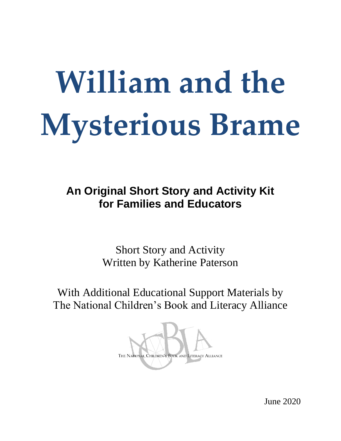# **William and the Mysterious Brame**

**An Original Short Story and Activity Kit for Families and Educators**

> Short Story and Activity Written by Katherine Paterson

With Additional Educational Support Materials by The National Children's Book and Literacy Alliance



June 2020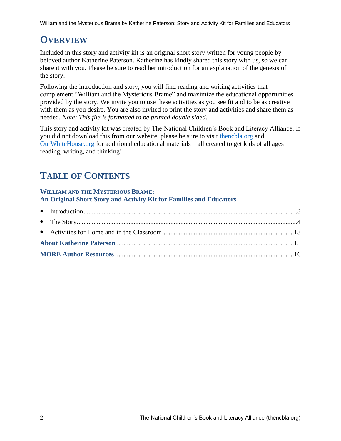# **OVERVIEW**

Included in this story and activity kit is an original short story written for young people by beloved author Katherine Paterson. Katherine has kindly shared this story with us, so we can share it with you. Please be sure to read her introduction for an explanation of the genesis of the story.

Following the introduction and story, you will find reading and writing activities that complement "William and the Mysterious Brame" and maximize the educational opportunities provided by the story. We invite you to use these activities as you see fit and to be as creative with them as you desire. You are also invited to print the story and activities and share them as needed. *Note: This file is formatted to be printed double sided.*

This story and activity kit was created by The National Children's Book and Literacy Alliance. If you did not download this from our website, please be sure to visit [thencbla.org](https://thencbla.org/homeschooling-resource-center/) and [OurWhiteHouse.org](https://ourwhitehouse.org/) for additional educational materials—all created to get kids of all ages reading, writing, and thinking!

# **TABLE OF CONTENTS**

## **WILLIAM AND THE MYSTERIOUS BRAME: An Original Short Story and Activity Kit for Families and Educators**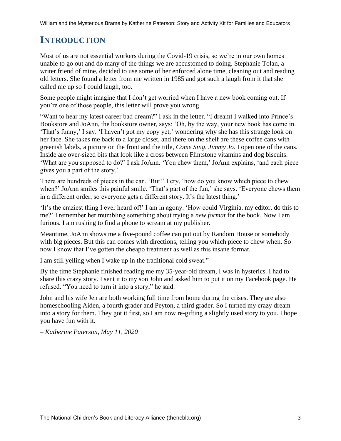# **INTRODUCTION**

Most of us are not essential workers during the Covid-19 crisis, so we're in our own homes unable to go out and do many of the things we are accustomed to doing. Stephanie Tolan, a writer friend of mine, decided to use some of her enforced alone time, cleaning out and reading old letters. She found a letter from me written in 1985 and got such a laugh from it that she called me up so I could laugh, too.

Some people might imagine that I don't get worried when I have a new book coming out. If you're one of those people, this letter will prove you wrong.

"Want to hear my latest career bad dream?" I ask in the letter. "I dreamt I walked into Prince's Bookstore and JoAnn, the bookstore owner, says: 'Oh, by the way, your new book has come in. 'That's funny,' I say. 'I haven't got my copy yet,' wondering why she has this strange look on her face. She takes me back to a large closet, and there on the shelf are these coffee cans with greenish labels, a picture on the front and the title, *Come Sing, Jimmy Jo.* I open one of the cans. Inside are over-sized bits that look like a cross between Flintstone vitamins and dog biscuits. 'What are you supposed to do?' I ask JoAnn. 'You chew them,' JoAnn explains, 'and each piece gives you a part of the story.'

There are hundreds of pieces in the can. 'But!' I cry, 'how do you know which piece to chew when?' JoAnn smiles this painful smile. 'That's part of the fun,' she says. 'Everyone chews them in a different order, so everyone gets a different story. It's the latest thing.'

'It's the craziest thing I ever heard of!' I am in agony. 'How could Virginia, my editor, do this to me?' I remember her mumbling something about trying a *new format* for the book. Now I am furious. I am rushing to find a phone to scream at my publisher.

Meantime, JoAnn shows me a five-pound coffee can put out by Random House or somebody with big pieces. But this can comes with directions, telling you which piece to chew when. So now I know that I've gotten the cheapo treatment as well as this insane format.

I am still yelling when I wake up in the traditional cold sweat."

By the time Stephanie finished reading me my 35-year-old dream, I was in hysterics. I had to share this crazy story. I sent it to my son John and asked him to put it on my Facebook page. He refused. "You need to turn it into a story," he said.

John and his wife Jen are both working full time from home during the crises. They are also homeschooling Aiden, a fourth grader and Peyton, a third grader. So I turned my crazy dream into a story for them. They got it first, so I am now re-gifting a slightly used story to you. I hope you have fun with it.

*– Katherine Paterson, May 11, 2020*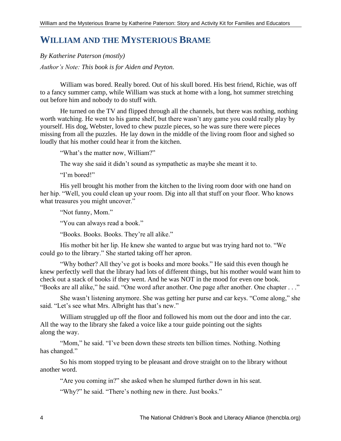# **WILLIAM AND THE MYSTERIOUS BRAME**

*By Katherine Paterson (mostly) Author's Note: This book is for Aiden and Peyton.*

William was bored. Really bored. Out of his skull bored. His best friend, Richie, was off to a fancy summer camp, while William was stuck at home with a long, hot summer stretching out before him and nobody to do stuff with.

He turned on the TV and flipped through all the channels, but there was nothing, nothing worth watching. He went to his game shelf, but there wasn't any game you could really play by yourself. His dog, Webster, loved to chew puzzle pieces, so he was sure there were pieces missing from all the puzzles. He lay down in the middle of the living room floor and sighed so loudly that his mother could hear it from the kitchen.

"What's the matter now, William?"

The way she said it didn't sound as sympathetic as maybe she meant it to.

"I'm bored!"

His yell brought his mother from the kitchen to the living room door with one hand on her hip. "Well, you could clean up your room. Dig into all that stuff on your floor. Who knows what treasures you might uncover."

"Not funny, Mom."

"You can always read a book."

"Books. Books. Books. They're all alike."

His mother bit her lip. He knew she wanted to argue but was trying hard not to. "We could go to the library." She started taking off her apron.

"Why bother? All they've got is books and more books." He said this even though he knew perfectly well that the library had lots of different things, but his mother would want him to check out a stack of books if they went. And he was NOT in the mood for even one book. "Books are all alike," he said. "One word after another. One page after another. One chapter . . ."

She wasn't listening anymore. She was getting her purse and car keys. "Come along," she said. "Let's see what Mrs. Albright has that's new."

William struggled up off the floor and followed his mom out the door and into the car. All the way to the library she faked a voice like a tour guide pointing out the sights along the way.

"Mom," he said. "I've been down these streets ten billion times. Nothing. Nothing has changed."

So his mom stopped trying to be pleasant and drove straight on to the library without another word.

"Are you coming in?" she asked when he slumped further down in his seat.

"Why?" he said. "There's nothing new in there. Just books."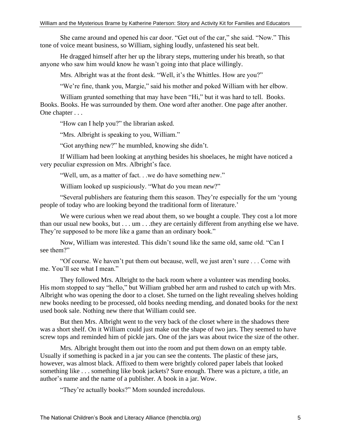She came around and opened his car door. "Get out of the car," she said. "Now." This tone of voice meant business, so William, sighing loudly, unfastened his seat belt.

He dragged himself after her up the library steps, muttering under his breath, so that anyone who saw him would know he wasn't going into that place willingly.

Mrs. Albright was at the front desk. "Well, it's the Whittles. How are you?"

"We're fine, thank you, Margie," said his mother and poked William with her elbow.

William grunted something that may have been "Hi," but it was hard to tell. Books. Books. Books. He was surrounded by them. One word after another. One page after another. One chapter . . .

"How can I help you?" the librarian asked.

"Mrs. Albright is speaking to you, William."

"Got anything new?" he mumbled, knowing she didn't.

If William had been looking at anything besides his shoelaces, he might have noticed a very peculiar expression on Mrs. Albright's face.

"Well, um, as a matter of fact. . .we do have something new."

William looked up suspiciously. "What do you mean *new*?"

"Several publishers are featuring them this season. They're especially for the um 'young people of today who are looking beyond the traditional form of literature.'

We were curious when we read about them, so we bought a couple. They cost a lot more than our usual new books, but . . . um . . .they are certainly different from anything else we have. They're supposed to be more like a game than an ordinary book."

Now, William was interested. This didn't sound like the same old, same old. "Can I see them?"

"Of course. We haven't put them out because, well, we just aren't sure . . . Come with me. You'll see what I mean."

They followed Mrs. Albright to the back room where a volunteer was mending books. His mom stopped to say "hello," but William grabbed her arm and rushed to catch up with Mrs. Albright who was opening the door to a closet. She turned on the light revealing shelves holding new books needing to be processed, old books needing mending, and donated books for the next used book sale. Nothing new there that William could see.

But then Mrs. Albright went to the very back of the closet where in the shadows there was a short shelf. On it William could just make out the shape of two jars. They seemed to have screw tops and reminded him of pickle jars. One of the jars was about twice the size of the other.

Mrs. Albright brought them out into the room and put them down on an empty table. Usually if something is packed in a jar you can see the contents. The plastic of these jars, however, was almost black. Affixed to them were brightly colored paper labels that looked something like . . . something like book jackets? Sure enough. There was a picture, a title, an author's name and the name of a publisher. A book in a jar. Wow.

"They're actually books?" Mom sounded incredulous.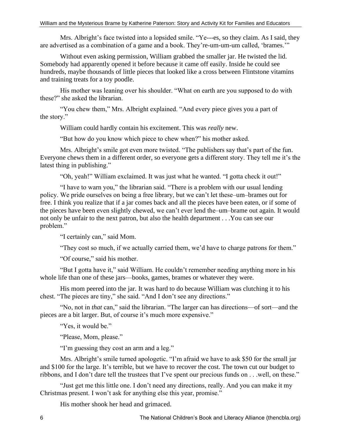Mrs. Albright's face twisted into a lopsided smile. "Ye---es, so they claim. As I said, they are advertised as a combination of a game and a book. They're-um-um-um called, 'brames.'"

Without even asking permission, William grabbed the smaller jar. He twisted the lid. Somebody had apparently opened it before because it came off easily. Inside he could see hundreds, maybe thousands of little pieces that looked like a cross between Flintstone vitamins and training treats for a toy poodle.

His mother was leaning over his shoulder. "What on earth are you supposed to do with these?" she asked the librarian.

"You chew them," Mrs. Albright explained. "And every piece gives you a part of the story."

William could hardly contain his excitement. This was *really* new.

"But how do you know which piece to chew when?" his mother asked.

Mrs. Albright's smile got even more twisted. "The publishers say that's part of the fun. Everyone chews them in a different order, so everyone gets a different story. They tell me it's the latest thing in publishing."

"Oh, yeah!" William exclaimed. It was just what he wanted. "I gotta check it out!"

"I have to warn you," the librarian said. "There is a problem with our usual lending policy. We pride ourselves on being a free library, but we can't let these–um–brames out for free. I think you realize that if a jar comes back and all the pieces have been eaten, or if some of the pieces have been even slightly chewed, we can't ever lend the–um–brame out again. It would not only be unfair to the next patron, but also the health department . . .You can see our problem."

"I certainly can," said Mom.

"They cost so much, if we actually carried them, we'd have to charge patrons for them."

"Of course," said his mother.

"But I gotta have it," said William. He couldn't remember needing anything more in his whole life than one of these jars—books, games, brames or whatever they were.

His mom peered into the jar. It was hard to do because William was clutching it to his chest. "The pieces are tiny," she said. "And I don't see any directions."

"No, not in *that* can," said the librarian. "The larger can has directions—of sort—and the pieces are a bit larger. But, of course it's much more expensive."

"Yes, it would be."

"Please, Mom, please."

"I'm guessing they cost an arm and a leg."

Mrs. Albright's smile turned apologetic. "I'm afraid we have to ask \$50 for the small jar and \$100 for the large. It's terrible, but we have to recover the cost. The town cut our budget to ribbons, and I don't dare tell the trustees that I've spent our precious funds on . . .well, on these."

"Just get me this little one. I don't need any directions, really. And you can make it my Christmas present. I won't ask for anything else this year, promise."

His mother shook her head and grimaced.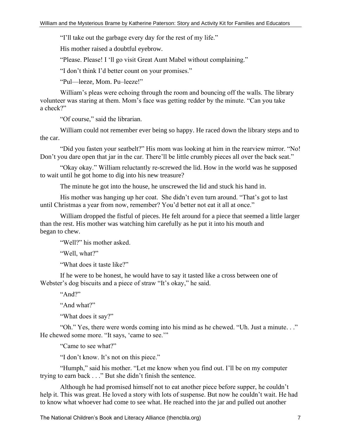"I'll take out the garbage every day for the rest of my life."

His mother raised a doubtful eyebrow.

"Please. Please! I 'll go visit Great Aunt Mabel without complaining."

"I don't think I'd better count on your promises."

"Pul—leeze, Mom. Pu–leeze!"

William's pleas were echoing through the room and bouncing off the walls. The library volunteer was staring at them. Mom's face was getting redder by the minute. "Can you take a check?"

"Of course," said the librarian.

William could not remember ever being so happy. He raced down the library steps and to the car.

"Did you fasten your seatbelt?" His mom was looking at him in the rearview mirror. "No! Don't you dare open that jar in the car. There'll be little crumbly pieces all over the back seat."

"Okay okay." William reluctantly re-screwed the lid. How in the world was he supposed to wait until he got home to dig into his new treasure?

The minute he got into the house, he unscrewed the lid and stuck his hand in.

His mother was hanging up her coat. She didn't even turn around. "That's got to last until Christmas a year from now, remember? You'd better not eat it all at once."

William dropped the fistful of pieces. He felt around for a piece that seemed a little larger than the rest. His mother was watching him carefully as he put it into his mouth and began to chew.

"Well?" his mother asked.

"Well, what?"

"What does it taste like?"

If he were to be honest, he would have to say it tasted like a cross between one of Webster's dog biscuits and a piece of straw "It's okay," he said.

"And?"

"And what?"

"What does it say?"

"Oh." Yes, there were words coming into his mind as he chewed. "Uh. Just a minute. . ." He chewed some more. "It says, 'came to see.'"

"Came to see what?"

"I don't know. It's not on this piece."

"Humph," said his mother. "Let me know when you find out. I'll be on my computer trying to earn back . . ." But she didn't finish the sentence.

Although he had promised himself not to eat another piece before supper, he couldn't help it. This was great. He loved a story with lots of suspense. But now he couldn't wait. He had to know what whoever had come to see what. He reached into the jar and pulled out another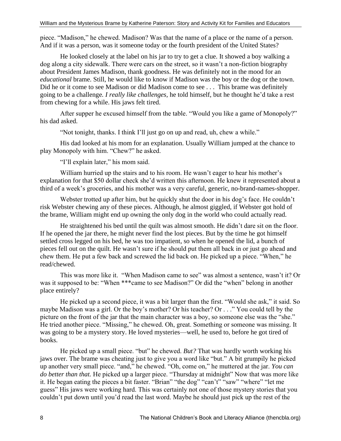piece. "Madison," he chewed. Madison? Was that the name of a place or the name of a person. And if it was a person, was it someone today or the fourth president of the United States?

He looked closely at the label on his jar to try to get a clue. It showed a boy walking a dog along a city sidewalk. There were cars on the street, so it wasn't a non-fiction biography about President James Madison, thank goodness. He was definitely not in the mood for an *educational* brame. Still, he would like to know if Madison was the boy or the dog or the town. Did he or it come to see Madison or did Madison come to see . . . This brame was definitely going to be a challenge*. I really like challenges,* he told himself, but he thought he'd take a rest from chewing for a while. His jaws felt tired.

After supper he excused himself from the table. "Would you like a game of Monopoly?" his dad asked.

"Not tonight, thanks. I think I'll just go on up and read, uh, chew a while."

His dad looked at his mom for an explanation. Usually William jumped at the chance to play Monopoly with him. "Chew?" he asked.

"I'll explain later," his mom said.

William hurried up the stairs and to his room. He wasn't eager to hear his mother's explanation for that \$50 dollar check she'd written this afternoon. He knew it represented about a third of a week's groceries, and his mother was a very careful, generic, no-brand-names-shopper.

Webster trotted up after him, but he quickly shut the door in his dog's face. He couldn't risk Webster chewing any of these pieces. Although, he almost giggled, if Webster got hold of the brame, William might end up owning the only dog in the world who could actually read.

He straightened his bed until the quilt was almost smooth. He didn't dare sit on the floor. If he opened the jar there, he might never find the lost pieces. But by the time he got himself settled cross legged on his bed, he was too impatient, so when he opened the lid, a bunch of pieces fell out on the quilt. He wasn't sure if he should put them all back in or just go ahead and chew them. He put a few back and screwed the lid back on. He picked up a piece. "When," he read/chewed.

This was more like it. "When Madison came to see" was almost a sentence, wasn't it? Or was it supposed to be: "When \*\*\*came to see Madison?" Or did the "when" belong in another place entirely?

He picked up a second piece, it was a bit larger than the first. "Would she ask," it said. So maybe Madison was a girl. Or the boy's mother? Or his teacher? Or . . ." You could tell by the picture on the front of the jar that the main character was a boy, so someone else was the "she." He tried another piece. "Missing," he chewed. Oh, great. Something or someone was missing. It was going to be a mystery story. He loved mysteries—well, he used to, before he got tired of books.

He picked up a small piece. "but" he chewed. *But?* That was hardly worth working his jaws over. The brame was cheating just to give you a word like "but." A bit grumpily he picked up another very small piece. "and," he chewed. "Oh, come on," he muttered at the jar. *You can do better than that.* He picked up a larger piece. "Thursday at midnight" Now that was more like it. He began eating the pieces a bit faster. "Brian" "the dog" "can't" "saw" "where" "let me guess" His jaws were working hard. This was certainly not one of those mystery stories that you couldn't put down until you'd read the last word. Maybe he should just pick up the rest of the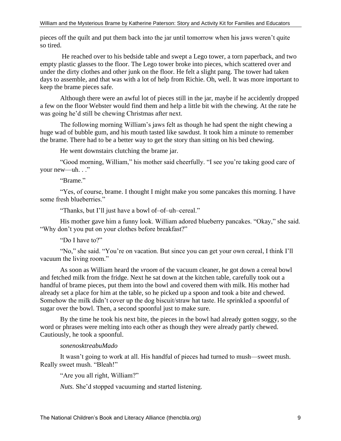pieces off the quilt and put them back into the jar until tomorrow when his jaws weren't quite so tired.

He reached over to his bedside table and swept a Lego tower, a torn paperback, and two empty plastic glasses to the floor. The Lego tower broke into pieces, which scattered over and under the dirty clothes and other junk on the floor. He felt a slight pang. The tower had taken days to assemble, and that was with a lot of help from Richie. Oh, well. It was more important to keep the brame pieces safe.

Although there were an awful lot of pieces still in the jar, maybe if he accidently dropped a few on the floor Webster would find them and help a little bit with the chewing. At the rate he was going he'd still be chewing Christmas after next.

The following morning William's jaws felt as though he had spent the night chewing a huge wad of bubble gum, and his mouth tasted like sawdust. It took him a minute to remember the brame. There had to be a better way to get the story than sitting on his bed chewing.

He went downstairs clutching the brame jar.

"Good morning, William," his mother said cheerfully. "I see you're taking good care of your new—uh. . ."

"Brame."

"Yes, of course, brame. I thought I might make you some pancakes this morning. I have some fresh blueberries."

"Thanks, but I'll just have a bowl of–of–uh–cereal."

His mother gave him a funny look. William adored blueberry pancakes. "Okay," she said. "Why don't you put on your clothes before breakfast?"

"Do I have to?"

"No," she said. "You're on vacation. But since you can get your own cereal, I think I'll vacuum the living room."

As soon as William heard the *vroom* of the vacuum cleaner, he got down a cereal bowl and fetched milk from the fridge. Next he sat down at the kitchen table, carefully took out a handful of brame pieces, put them into the bowl and covered them with milk. His mother had already set a place for him at the table, so he picked up a spoon and took a bite and chewed. Somehow the milk didn't cover up the dog biscuit/straw hat taste. He sprinkled a spoonful of sugar over the bowl. Then, a second spoonful just to make sure.

By the time he took his next bite, the pieces in the bowl had already gotten soggy, so the word or phrases were melting into each other as though they were already partly chewed. Cautiously, he took a spoonful.

#### *sonenosktreabuMado*

It wasn't going to work at all. His handful of pieces had turned to mush—sweet mush. Really sweet mush. "Bleah!"

"Are you all right, William?"

*Nuts.* She'd stopped vacuuming and started listening.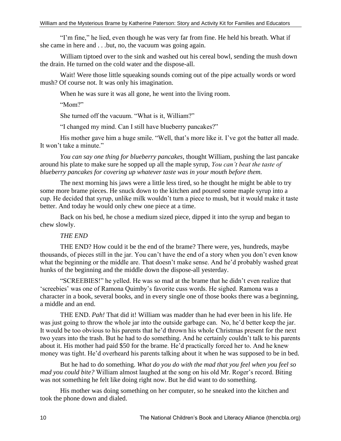"I'm fine," he lied, even though he was very far from fine. He held his breath. What if she came in here and . . .but, no, the vacuum was going again.

William tiptoed over to the sink and washed out his cereal bowl, sending the mush down the drain. He turned on the cold water and the dispose-all.

Wait! Were those little squeaking sounds coming out of the pipe actually words or word mush? Of course not. It was only his imagination.

When he was sure it was all gone, he went into the living room.

"Mom?"

She turned off the vacuum. "What is it, William?"

"I changed my mind. Can I still have blueberry pancakes?"

His mother gave him a huge smile. "Well, that's more like it. I've got the batter all made. It won't take a minute."

*You can say one thing for blueberry pancakes*, thought William, pushing the last pancake around his plate to make sure he sopped up all the maple syrup, *You can't beat the taste of blueberry pancakes for covering up whatever taste was in your mouth before them.*

The next morning his jaws were a little less tired, so he thought he might be able to try some more brame pieces. He snuck down to the kitchen and poured some maple syrup into a cup. He decided that syrup, unlike milk wouldn't turn a piece to mush, but it would make it taste better. And today he would only chew one piece at a time.

Back on his bed, he chose a medium sized piece, dipped it into the syrup and began to chew slowly.

#### *THE END*

THE END? How could it be the end of the brame? There were, yes, hundreds, maybe thousands, of pieces still in the jar. You can't have the end of a story when you don't even know what the beginning or the middle are. That doesn't make sense. And he'd probably washed great hunks of the beginning and the middle down the dispose-all yesterday.

"SCREEBIES!" he yelled. He was so mad at the brame that he didn't even realize that 'screebies' was one of Ramona Quimby's favorite cuss words. He sighed. Ramona was a character in a book, several books, and in every single one of those books there was a beginning, a middle and an end.

THE END. *Pah!* That did it! William was madder than he had ever been in his life. He was just going to throw the whole jar into the outside garbage can. No, he'd better keep the jar. It would be too obvious to his parents that he'd thrown his whole Christmas present for the next two years into the trash. But he had to do something. And he certainly couldn't talk to his parents about it. His mother had paid \$50 for the brame. He'd practically forced her to. And he knew money was tight. He'd overheard his parents talking about it when he was supposed to be in bed.

But he had to do something. *What do you do with the mad that you feel when you feel so mad you could bite?* William almost laughed at the song on his old Mr. Roger's record. Biting was not something he felt like doing right now. But he did want to do something.

His mother was doing something on her computer, so he sneaked into the kitchen and took the phone down and dialed.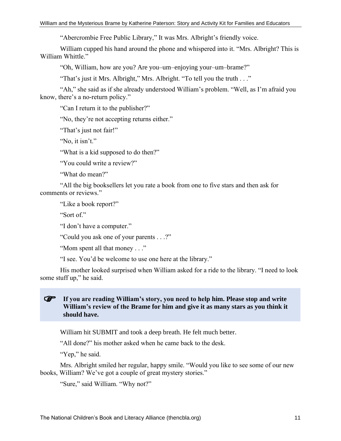"Abercrombie Free Public Library," It was Mrs. Albright's friendly voice.

William cupped his hand around the phone and whispered into it. "Mrs. Albright? This is William Whittle."

"Oh, William, how are you? Are you–um–enjoying your–um–brame?"

"That's just it Mrs. Albright," Mrs. Albright. "To tell you the truth . . ."

"Ah," she said as if she already understood William's problem. "Well, as I'm afraid you know, there's a no-return policy."

"Can I return it to the publisher?"

"No, they're not accepting returns either."

"That's just not fair!"

"No, it isn't."

"What is a kid supposed to do then?"

"You could write a review?"

"What do mean?"

"All the big booksellers let you rate a book from one to five stars and then ask for comments or reviews."

"Like a book report?"

"Sort of."

"I don't have a computer."

"Could you ask one of your parents . . .?"

"Mom spent all that money . . ."

"I see. You'd be welcome to use one here at the library."

His mother looked surprised when William asked for a ride to the library. "I need to look some stuff up," he said.

#### **If you are reading William's story, you need to help him. Please stop and write William's review of the Brame for him and give it as many stars as you think it should have.**

William hit SUBMIT and took a deep breath. He felt much better.

"All done?" his mother asked when he came back to the desk.

"Yep," he said.

Mrs. Albright smiled her regular, happy smile. "Would you like to see some of our new books, William? We've got a couple of great mystery stories."

"Sure," said William. "Why not?"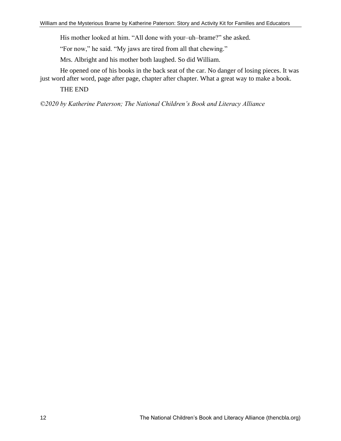His mother looked at him. "All done with your–uh–brame?" she asked.

"For now," he said. "My jaws are tired from all that chewing."

Mrs. Albright and his mother both laughed. So did William.

He opened one of his books in the back seat of the car. No danger of losing pieces. It was just word after word, page after page, chapter after chapter. What a great way to make a book.

THE END

*©2020 by Katherine Paterson; The National Children's Book and Literacy Alliance*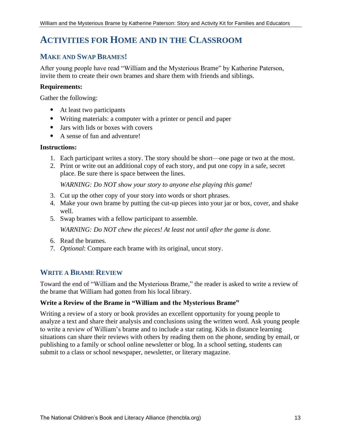# **ACTIVITIES FOR HOME AND IN THE CLASSROOM**

# **MAKE AND SWAP BRAMES!**

After young people have read "William and the Mysterious Brame" by Katherine Paterson, invite them to create their own brames and share them with friends and siblings.

### **Requirements:**

Gather the following:

- At least two participants
- Writing materials: a computer with a printer or pencil and paper
- Jars with lids or boxes with covers
- A sense of fun and adventure!

#### **Instructions:**

- 1. Each participant writes a story. The story should be short—one page or two at the most.
- 2. Print or write out an additional copy of each story, and put one copy in a safe, secret place. Be sure there is space between the lines.

*WARNING: Do NOT show your story to anyone else playing this game!* 

- 3. Cut up the other copy of your story into words or short phrases.
- 4. Make your own brame by putting the cut-up pieces into your jar or box, cover, and shake well.
- 5. Swap brames with a fellow participant to assemble.

*WARNING: Do NOT chew the pieces! At least not until after the game is done.*

- 6. Read the brames.
- 7. *Optional*: Compare each brame with its original, uncut story.

# **WRITE A BRAME REVIEW**

Toward the end of "William and the Mysterious Brame," the reader is asked to write a review of the brame that William had gotten from his local library.

## **Write a Review of the Brame in "William and the Mysterious Brame"**

Writing a review of a story or book provides an excellent opportunity for young people to analyze a text and share their analysis and conclusions using the written word. Ask young people to write a review of William's brame and to include a star rating. Kids in distance learning situations can share their reviews with others by reading them on the phone, sending by email, or publishing to a family or school online newsletter or blog. In a school setting, students can submit to a class or school newspaper, newsletter, or literary magazine.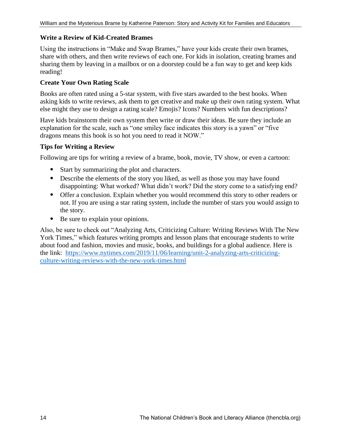## **Write a Review of Kid-Created Brames**

Using the instructions in "Make and Swap Brames," have your kids create their own brames, share with others, and then write reviews of each one. For kids in isolation, creating brames and sharing them by leaving in a mailbox or on a doorstep could be a fun way to get and keep kids reading!

## **Create Your Own Rating Scale**

Books are often rated using a 5-star system, with five stars awarded to the best books. When asking kids to write reviews, ask them to get creative and make up their own rating system. What else might they use to design a rating scale? Emojis? Icons? Numbers with fun descriptions?

Have kids brainstorm their own system then write or draw their ideas. Be sure they include an explanation for the scale, such as "one smiley face indicates this story is a yawn" or "five dragons means this book is so hot you need to read it NOW."

## **Tips for Writing a Review**

Following are tips for writing a review of a brame, book, movie, TV show, or even a cartoon:

- Start by summarizing the plot and characters.
- Describe the elements of the story you liked, as well as those you may have found disappointing: What worked? What didn't work? Did the story come to a satisfying end?
- Offer a conclusion. Explain whether you would recommend this story to other readers or not. If you are using a star rating system, include the number of stars you would assign to the story.
- Be sure to explain your opinions.

Also, be sure to check out "Analyzing Arts, Criticizing Culture: Writing Reviews With The New York Times," which features writing prompts and lesson plans that encourage students to write about food and fashion, movies and music, books, and buildings for a global audience. Here is the link: [https://www.nytimes.com/2019/11/06/learning/unit-2-analyzing-arts-criticizing](https://www.nytimes.com/2019/11/06/learning/unit-2-analyzing-arts-criticizing-culture-writing-reviews-with-the-new-york-times.html)[culture-writing-reviews-with-the-new-york-times.html](https://www.nytimes.com/2019/11/06/learning/unit-2-analyzing-arts-criticizing-culture-writing-reviews-with-the-new-york-times.html)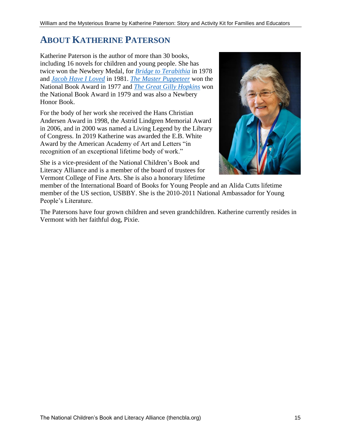# **ABOUT KATHERINE PATERSON**

Katherine Paterson is the author of more than 30 books, including 16 novels for children and young people. She has twice won the Newbery Medal, for *[Bridge to Terabithia](http://katherinepaterson.com/books/bridge-to-terabithia/)* in 1978 and *[Jacob Have I Loved](http://katherinepaterson.com/books/jacob-have-i-loved/)* in 1981. *[The Master Puppeteer](http://katherinepaterson.com/books/the-master-puppeteer/)* won the National Book Award in 1977 and *[The Great Gilly Hopkins](http://katherinepaterson.com/books/the-great-gilly-hopkins/)* won the National Book Award in 1979 and was also a Newbery Honor Book.

For the body of her work she received the Hans Christian Andersen Award in 1998, the Astrid Lindgren Memorial Award in 2006, and in 2000 was named a Living Legend by the Library of Congress. In 2019 Katherine was awarded the E.B. White Award by the American Academy of Art and Letters "in recognition of an exceptional lifetime body of work."

She is a vice-president of the National Children's Book and Literacy Alliance and is a member of the board of trustees for Vermont College of Fine Arts. She is also a honorary lifetime



member of the International Board of Books for Young People and an Alida Cutts lifetime member of the US section, USBBY. She is the 2010-2011 National Ambassador for Young People's Literature.

The Patersons have four grown children and seven grandchildren. Katherine currently resides in Vermont with her faithful dog, Pixie.